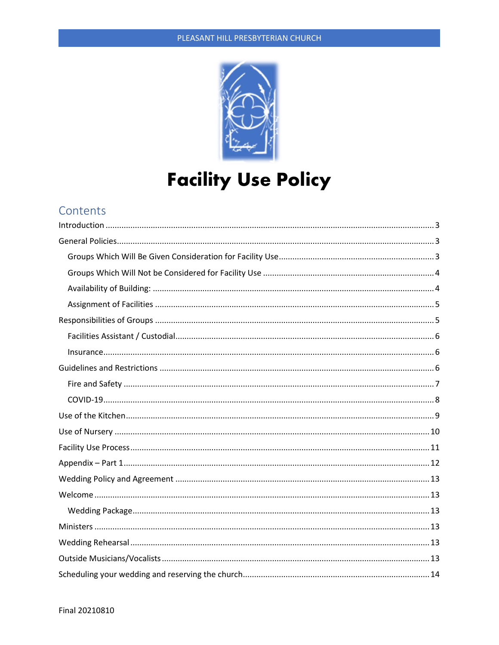

# **Facility Use Policy**

## Contents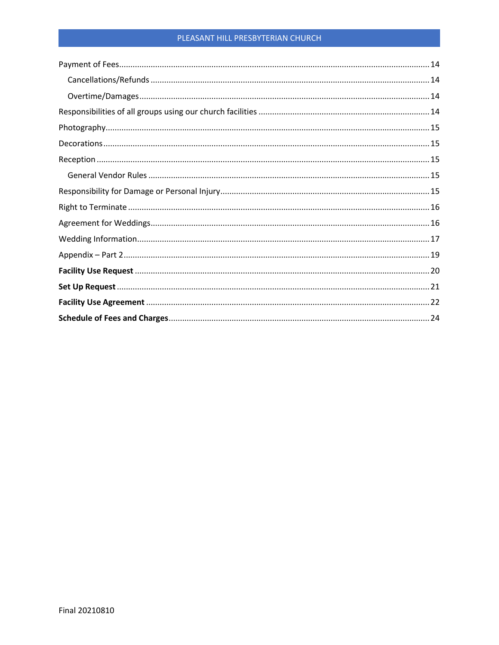#### PLEASANT HILL PRESBYTERIAN CHURCH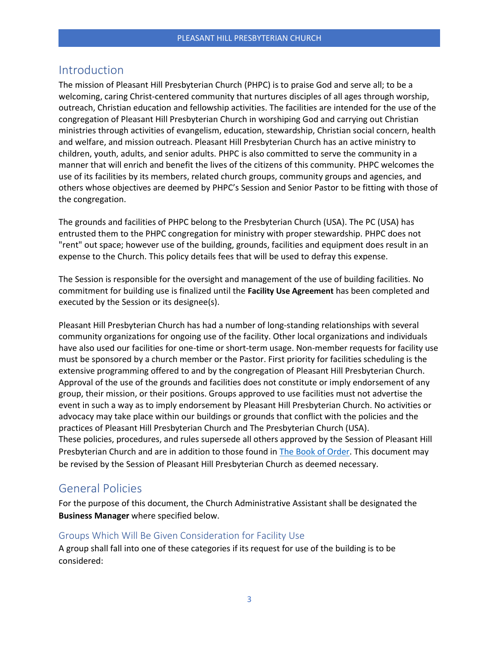### <span id="page-2-0"></span>Introduction

The mission of Pleasant Hill Presbyterian Church (PHPC) is to praise God and serve all; to be a welcoming, caring Christ-centered community that nurtures disciples of all ages through worship, outreach, Christian education and fellowship activities. The facilities are intended for the use of the congregation of Pleasant Hill Presbyterian Church in worshiping God and carrying out Christian ministries through activities of evangelism, education, stewardship, Christian social concern, health and welfare, and mission outreach. Pleasant Hill Presbyterian Church has an active ministry to children, youth, adults, and senior adults. PHPC is also committed to serve the community in a manner that will enrich and benefit the lives of the citizens of this community. PHPC welcomes the use of its facilities by its members, related church groups, community groups and agencies, and others whose objectives are deemed by PHPC's Session and Senior Pastor to be fitting with those of the congregation.

The grounds and facilities of PHPC belong to the Presbyterian Church (USA). The PC (USA) has entrusted them to the PHPC congregation for ministry with proper stewardship. PHPC does not "rent" out space; however use of the building, grounds, facilities and equipment does result in an expense to the Church. This policy details fees that will be used to defray this expense.

The Session is responsible for the oversight and management of the use of building facilities. No commitment for building use is finalized until the **[Facility Use Agreement](#page-21-0)** has been completed and executed by the Session or its designee(s).

Pleasant Hill Presbyterian Church has had a number of long-standing relationships with several community organizations for ongoing use of the facility. Other local organizations and individuals have also used our facilities for one-time or short-term usage. Non-member requests for facility use must be sponsored by a church member or the Pastor. First priority for facilities scheduling is the extensive programming offered to and by the congregation of Pleasant Hill Presbyterian Church. Approval of the use of the grounds and facilities does not constitute or imply endorsement of any group, their mission, or their positions. Groups approved to use facilities must not advertise the event in such a way as to imply endorsement by Pleasant Hill Presbyterian Church. No activities or advocacy may take place within our buildings or grounds that conflict with the policies and the practices of Pleasant Hill Presbyterian Church and The Presbyterian Church (USA). These policies, procedures, and rules supersede all others approved by the Session of Pleasant Hill Presbyterian Church and are in addition to those found in [The Book of Order.](http://index.pcusa.org/nxt/gateway.dll?f=templates$fn=default.htm) This document may be revised by the Session of Pleasant Hill Presbyterian Church as deemed necessary.

## <span id="page-2-1"></span>General Policies

For the purpose of this document, the Church Administrative Assistant shall be designated the **Business Manager** where specified below.

#### <span id="page-2-2"></span>Groups Which Will Be Given Consideration for Facility Use

A group shall fall into one of these categories if its request for use of the building is to be considered: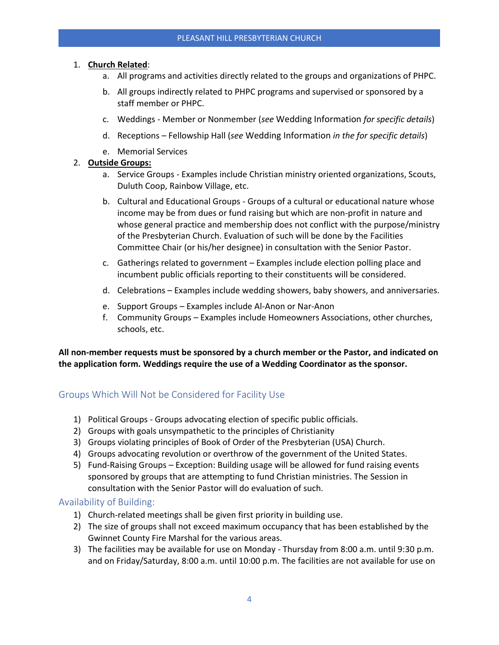#### 1. **Church Related**:

- a. All programs and activities directly related to the groups and organizations of PHPC.
- b. All groups indirectly related to PHPC programs and supervised or sponsored by a staff member or PHPC.
- c. Weddings Member or Nonmember (*see* [Wedding Information](#page-16-0) *for specific details*)
- d. Receptions Fellowship Hall (*see* [Wedding Information](#page-16-0) *in the for specific details*)
- e. Memorial Services

#### 2. **Outside Groups:**

- a. Service Groups Examples include Christian ministry oriented organizations, Scouts, Duluth Coop, Rainbow Village, etc.
- b. Cultural and Educational Groups Groups of a cultural or educational nature whose income may be from dues or fund raising but which are non-profit in nature and whose general practice and membership does not conflict with the purpose/ministry of the Presbyterian Church. Evaluation of such will be done by the Facilities Committee Chair (or his/her designee) in consultation with the Senior Pastor.
- c. Gatherings related to government Examples include election polling place and incumbent public officials reporting to their constituents will be considered.
- d. Celebrations Examples include wedding showers, baby showers, and anniversaries.
- e. Support Groups Examples include Al-Anon or Nar-Anon
- f. Community Groups Examples include Homeowners Associations, other churches, schools, etc.

**All non-member requests must be sponsored by a church member or the Pastor, and indicated on the application form. Weddings require the use of a Wedding Coordinator as the sponsor.**

#### <span id="page-3-0"></span>Groups Which Will Not be Considered for Facility Use

- 1) Political Groups Groups advocating election of specific public officials.
- 2) Groups with goals unsympathetic to the principles of Christianity
- 3) Groups violating principles of Book of Order of the Presbyterian (USA) Church.
- 4) Groups advocating revolution or overthrow of the government of the United States.
- 5) Fund-Raising Groups Exception: Building usage will be allowed for fund raising events sponsored by groups that are attempting to fund Christian ministries. The Session in consultation with the Senior Pastor will do evaluation of such.

#### <span id="page-3-1"></span>Availability of Building:

- 1) Church-related meetings shall be given first priority in building use.
- 2) The size of groups shall not exceed maximum occupancy that has been established by the Gwinnet County Fire Marshal for the various areas.
- 3) The facilities may be available for use on Monday Thursday from 8:00 a.m. until 9:30 p.m. and on Friday/Saturday, 8:00 a.m. until 10:00 p.m. The facilities are not available for use on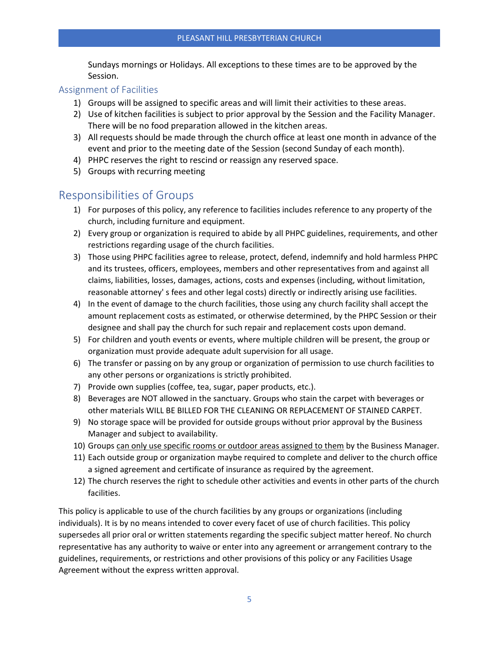Sundays mornings or Holidays. All exceptions to these times are to be approved by the Session.

#### <span id="page-4-0"></span>Assignment of Facilities

- 1) Groups will be assigned to specific areas and will limit their activities to these areas.
- 2) Use of kitchen facilities is subject to prior approval by the Session and the Facility Manager. There will be no food preparation allowed in the kitchen areas.
- 3) All requests should be made through the church office at least one month in advance of the event and prior to the meeting date of the Session (second Sunday of each month).
- 4) PHPC reserves the right to rescind or reassign any reserved space.
- 5) Groups with recurring meeting

## <span id="page-4-1"></span>Responsibilities of Groups

- 1) For purposes of this policy, any reference to facilities includes reference to any property of the church, including furniture and equipment.
- 2) Every group or organization is required to abide by all PHPC guidelines, requirements, and other restrictions regarding usage of the church facilities.
- 3) Those using PHPC facilities agree to release, protect, defend, indemnify and hold harmless PHPC and its trustees, officers, employees, members and other representatives from and against all claims, liabilities, losses, damages, actions, costs and expenses (including, without limitation, reasonable attorney' s fees and other legal costs) directly or indirectly arising use facilities.
- 4) In the event of damage to the church facilities, those using any church facility shall accept the amount replacement costs as estimated, or otherwise determined, by the PHPC Session or their designee and shall pay the church for such repair and replacement costs upon demand.
- 5) For children and youth events or events, where multiple children will be present, the group or organization must provide adequate adult supervision for all usage.
- 6) The transfer or passing on by any group or organization of permission to use church facilities to any other persons or organizations is strictly prohibited.
- 7) Provide own supplies (coffee, tea, sugar, paper products, etc.).
- 8) Beverages are NOT allowed in the sanctuary. Groups who stain the carpet with beverages or other materials WILL BE BILLED FOR THE CLEANING OR REPLACEMENT OF STAINED CARPET.
- 9) No storage space will be provided for outside groups without prior approval by the Business Manager and subject to availability.
- 10) Groups can only use specific rooms or outdoor areas assigned to them by the Business Manager.
- 11) Each outside group or organization maybe required to complete and deliver to the church office a signed agreement and certificate of insurance as required by the agreement.
- 12) The church reserves the right to schedule other activities and events in other parts of the church facilities.

This policy is applicable to use of the church facilities by any groups or organizations (including individuals). It is by no means intended to cover every facet of use of church facilities. This policy supersedes all prior oral or written statements regarding the specific subject matter hereof. No church representative has any authority to waive or enter into any agreement or arrangement contrary to the guidelines, requirements, or restrictions and other provisions of this policy or any Facilities Usage Agreement without the express written approval.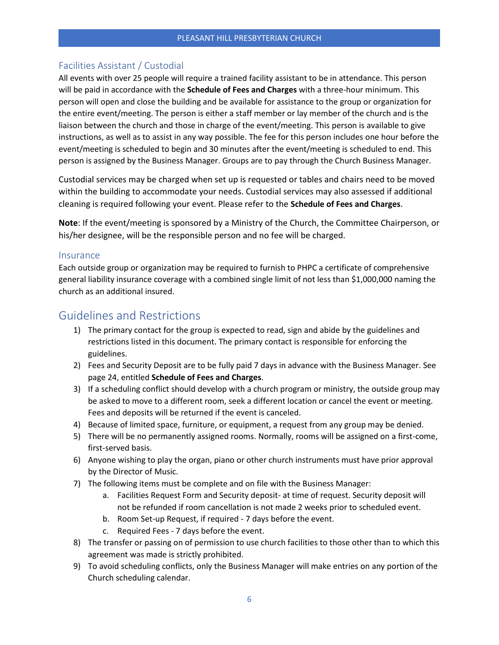#### <span id="page-5-0"></span>Facilities Assistant / Custodial

All events with over 25 people will require a trained facility assistant to be in attendance. This person will be paid in accordance with the **[Schedule of Fees and Charges](#page-23-0)** with a three-hour minimum. This person will open and close the building and be available for assistance to the group or organization for the entire event/meeting. The person is either a staff member or lay member of the church and is the liaison between the church and those in charge of the event/meeting. This person is available to give instructions, as well as to assist in any way possible. The fee for this person includes one hour before the event/meeting is scheduled to begin and 30 minutes after the event/meeting is scheduled to end. This person is assigned by the Business Manager. Groups are to pay through the Church Business Manager.

Custodial services may be charged when set up is requested or tables and chairs need to be moved within the building to accommodate your needs. Custodial services may also assessed if additional cleaning is required following your event. Please refer to the **[Schedule of Fees and Charges](#page-23-0)**.

**Note**: If the event/meeting is sponsored by a Ministry of the Church, the Committee Chairperson, or his/her designee, will be the responsible person and no fee will be charged.

#### <span id="page-5-1"></span>**Insurance**

Each outside group or organization may be required to furnish to PHPC a certificate of comprehensive general liability insurance coverage with a combined single limit of not less than \$1,000,000 naming the church as an additional insured.

### <span id="page-5-2"></span>Guidelines and Restrictions

- 1) The primary contact for the group is expected to read, sign and abide by the guidelines and restrictions listed in this document. The primary contact is responsible for enforcing the guidelines.
- 2) Fees and Security Deposit are to be fully paid 7 days in advance with the Business Manager. See page [24,](#page-23-0) entitled **[Schedule of Fees and Charges](#page-23-0)**.
- 3) If a scheduling conflict should develop with a church program or ministry, the outside group may be asked to move to a different room, seek a different location or cancel the event or meeting. Fees and deposits will be returned if the event is canceled.
- 4) Because of limited space, furniture, or equipment, a request from any group may be denied.
- 5) There will be no permanently assigned rooms. Normally, rooms will be assigned on a first-come, first-served basis.
- 6) Anyone wishing to play the organ, piano or other church instruments must have prior approval by the Director of Music.
- 7) The following items must be complete and on file with the Business Manager:
	- a. Facilities Request Form and Security deposit- at time of request. Security deposit will not be refunded if room cancellation is not made 2 weeks prior to scheduled event.
	- b. Room Set-up Request, if required 7 days before the event.
	- c. Required Fees 7 days before the event.
- 8) The transfer or passing on of permission to use church facilities to those other than to which this agreement was made is strictly prohibited.
- 9) To avoid scheduling conflicts, only the Business Manager will make entries on any portion of the Church scheduling calendar.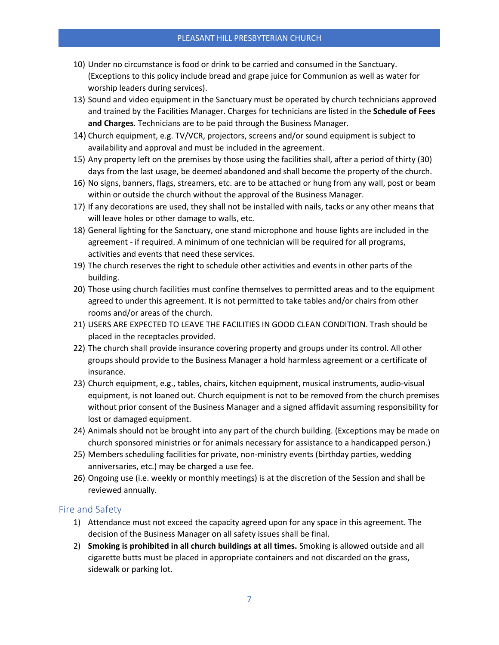- 10) Under no circumstance is food or drink to be carried and consumed in the Sanctuary. (Exceptions to this policy include bread and grape juice for Communion as well as water for worship leaders during services).
- 13) Sound and video equipment in the Sanctuary must be operated by church technicians approved and trained by the Facilities Manager. Charges for technicians are listed in the **[Schedule of Fees](#page-23-0)  [and Charges](#page-23-0)**. Technicians are to be paid through the Business Manager.
- 14) Church equipment, e.g. TV/VCR, projectors, screens and/or sound equipment is subject to availability and approval and must be included in the agreement.
- 15) Any property left on the premises by those using the facilities shall, after a period of thirty (30) days from the last usage, be deemed abandoned and shall become the property of the church.
- 16) No signs, banners, flags, streamers, etc. are to be attached or hung from any wall, post or beam within or outside the church without the approval of the Business Manager.
- 17) If any decorations are used, they shall not be installed with nails, tacks or any other means that will leave holes or other damage to walls, etc.
- 18) General lighting for the Sanctuary, one stand microphone and house lights are included in the agreement - if required. A minimum of one technician will be required for all programs, activities and events that need these services.
- 19) The church reserves the right to schedule other activities and events in other parts of the building.
- 20) Those using church facilities must confine themselves to permitted areas and to the equipment agreed to under this agreement. It is not permitted to take tables and/or chairs from other rooms and/or areas of the church.
- 21) USERS ARE EXPECTED TO LEAVE THE FACILITIES IN GOOD CLEAN CONDITION. Trash should be placed in the receptacles provided.
- 22) The church shall provide insurance covering property and groups under its control. All other groups should provide to the Business Manager a hold harmless agreement or a certificate of insurance.
- 23) Church equipment, e.g., tables, chairs, kitchen equipment, musical instruments, audio-visual equipment, is not loaned out. Church equipment is not to be removed from the church premises without prior consent of the Business Manager and a signed affidavit assuming responsibility for lost or damaged equipment.
- 24) Animals should not be brought into any part of the church building. (Exceptions may be made on church sponsored ministries or for animals necessary for assistance to a handicapped person.)
- 25) Members scheduling facilities for private, non-ministry events (birthday parties, wedding anniversaries, etc.) may be charged a use fee.
- 26) Ongoing use (i.e. weekly or monthly meetings) is at the discretion of the Session and shall be reviewed annually.

#### <span id="page-6-0"></span>Fire and Safety

- 1) Attendance must not exceed the capacity agreed upon for any space in this agreement. The decision of the Business Manager on all safety issues shall be final.
- 2) **Smoking is prohibited in all church buildings at all times.** Smoking is allowed outside and all cigarette butts must be placed in appropriate containers and not discarded on the grass, sidewalk or parking lot.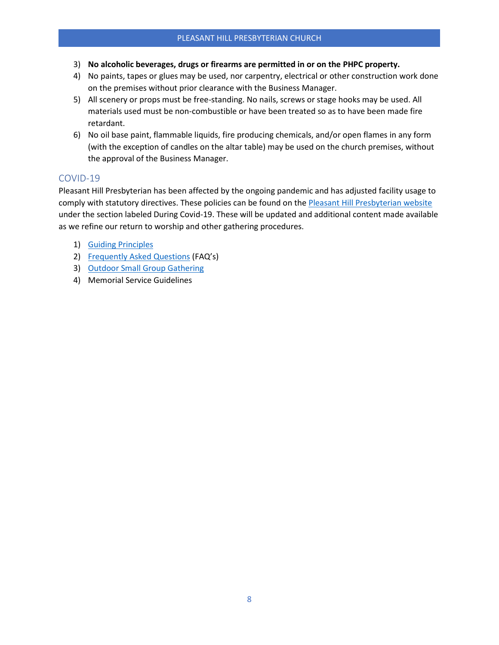- 3) **No alcoholic beverages, drugs or firearms are permitted in or on the PHPC property.**
- 4) No paints, tapes or glues may be used, nor carpentry, electrical or other construction work done on the premises without prior clearance with the Business Manager.
- 5) All scenery or props must be free-standing. No nails, screws or stage hooks may be used. All materials used must be non-combustible or have been treated so as to have been made fire retardant.
- 6) No oil base paint, flammable liquids, fire producing chemicals, and/or open flames in any form (with the exception of candles on the altar table) may be used on the church premises, without the approval of the Business Manager.

#### <span id="page-7-0"></span>COVID-19

Pleasant Hill Presbyterian has been affected by the ongoing pandemic and has adjusted facility usage to comply with statutory directives. These policies can be found on th[e Pleasant Hill Presbyterian website](https://www.pleasanthillpc.org/) under the section labeled During Covid-19. These will be updated and additional content made available as we refine our return to worship and other gathering procedures.

- 1) [Guiding Principles](https://www.pleasanthillpc.org/wp-content/uploads/2020/06/PHPC_Guiding_Principles_During_the_Coronavirus_Pandemic.pdf)
- 2) [Frequently Asked Questions](https://www.pleasanthillpc.org/wp-content/uploads/2020/06/PHPC_FAQs_for_Pandemic.pdf) (FAQ's)
- 3) [Outdoor Small Group Gathering](https://www.pleasanthillpc.org/wp-content/uploads/2020/09/PDF-Outdoor-Small-Group-Gathering-Procedures.pdf)
- 4) Memorial Service Guidelines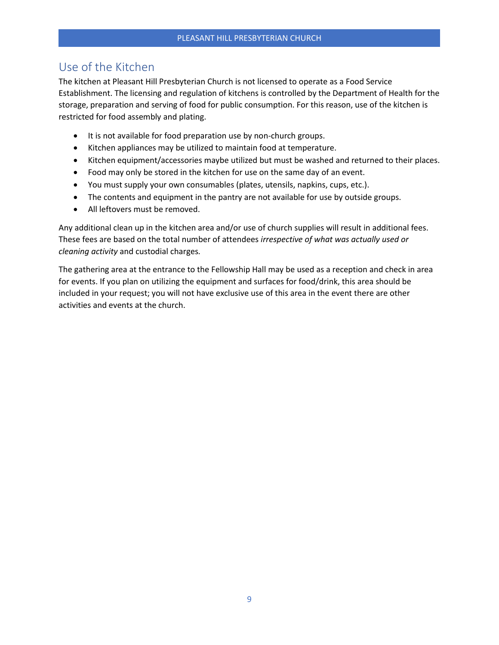## <span id="page-8-0"></span>Use of the Kitchen

The kitchen at Pleasant Hill Presbyterian Church is not licensed to operate as a Food Service Establishment. The licensing and regulation of kitchens is controlled by the Department of Health for the storage, preparation and serving of food for public consumption. For this reason, use of the kitchen is restricted for food assembly and plating.

- It is not available for food preparation use by non-church groups.
- Kitchen appliances may be utilized to maintain food at temperature.
- Kitchen equipment/accessories maybe utilized but must be washed and returned to their places.
- Food may only be stored in the kitchen for use on the same day of an event.
- You must supply your own consumables (plates, utensils, napkins, cups, etc.).
- The contents and equipment in the pantry are not available for use by outside groups.
- All leftovers must be removed.

Any additional clean up in the kitchen area and/or use of church supplies will result in additional fees. These fees are based on the total number of attendees *irrespective of what was actually used or cleaning activity* and custodial charges*.*

The gathering area at the entrance to the Fellowship Hall may be used as a reception and check in area for events. If you plan on utilizing the equipment and surfaces for food/drink, this area should be included in your request; you will not have exclusive use of this area in the event there are other activities and events at the church.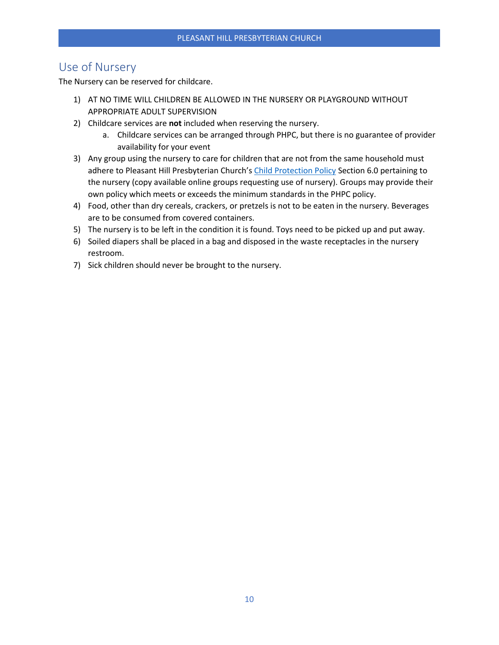## <span id="page-9-0"></span>Use of Nursery

The Nursery can be reserved for childcare.

- 1) AT NO TIME WILL CHILDREN BE ALLOWED IN THE NURSERY OR PLAYGROUND WITHOUT APPROPRIATE ADULT SUPERVISION
- 2) Childcare services are **not** included when reserving the nursery.
	- a. Childcare services can be arranged through PHPC, but there is no guarantee of provider availability for your event
- 3) Any group using the nursery to care for children that are not from the same household must adhere to Pleasant Hill Presbyterian Church's [Child Protection Policy](https://www.pleasanthillpc.org/wp-content/uploads/2016/06/ChildProtectPolicy.pdf) Section 6.0 pertaining to the nursery (copy available online groups requesting use of nursery). Groups may provide their own policy which meets or exceeds the minimum standards in the PHPC policy.
- 4) Food, other than dry cereals, crackers, or pretzels is not to be eaten in the nursery. Beverages are to be consumed from covered containers.
- 5) The nursery is to be left in the condition it is found. Toys need to be picked up and put away.
- 6) Soiled diapers shall be placed in a bag and disposed in the waste receptacles in the nursery restroom.
- 7) Sick children should never be brought to the nursery.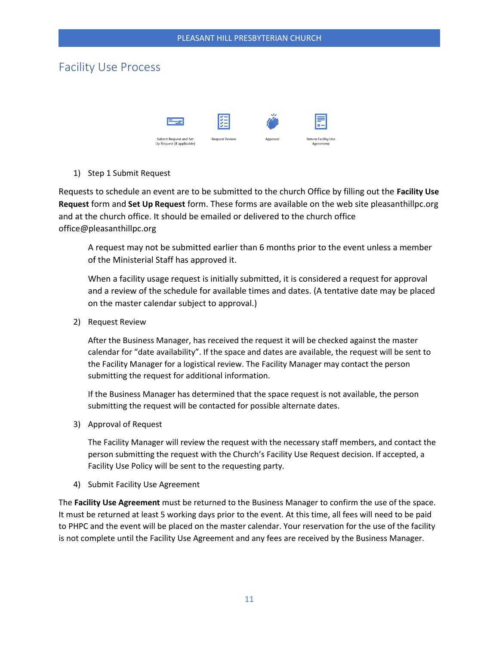## <span id="page-10-0"></span>Facility Use Process



1) Step 1 Submit Request

Requests to schedule an event are to be submitted to the church Office by filling out the **[Facility Use](#page-19-0)  [Request](#page-19-0)** form and **[Set Up Request](#page-20-0)** form. These forms are available on the web site pleasanthillpc.org and at the church office. It should be emailed or delivered to the church office office@pleasanthillpc.org

A request may not be submitted earlier than 6 months prior to the event unless a member of the Ministerial Staff has approved it.

When a facility usage request is initially submitted, it is considered a request for approval and a review of the schedule for available times and dates. (A tentative date may be placed on the master calendar subject to approval.)

2) Request Review

After the Business Manager, has received the request it will be checked against the master calendar for "date availability". If the space and dates are available, the request will be sent to the Facility Manager for a logistical review. The Facility Manager may contact the person submitting the request for additional information.

If the Business Manager has determined that the space request is not available, the person submitting the request will be contacted for possible alternate dates.

3) Approval of Request

The Facility Manager will review the request with the necessary staff members, and contact the person submitting the request with the Church's Facility Use Request decision. If accepted, a Facility Use Policy will be sent to the requesting party.

4) Submit Facility Use Agreement

The **[Facility Use Agreement](#page-21-0)** must be returned to the Business Manager to confirm the use of the space. It must be returned at least 5 working days prior to the event. At this time, all fees will need to be paid to PHPC and the event will be placed on the master calendar. Your reservation for the use of the facility is not complete until the Facility Use Agreement and any fees are received by the Business Manager.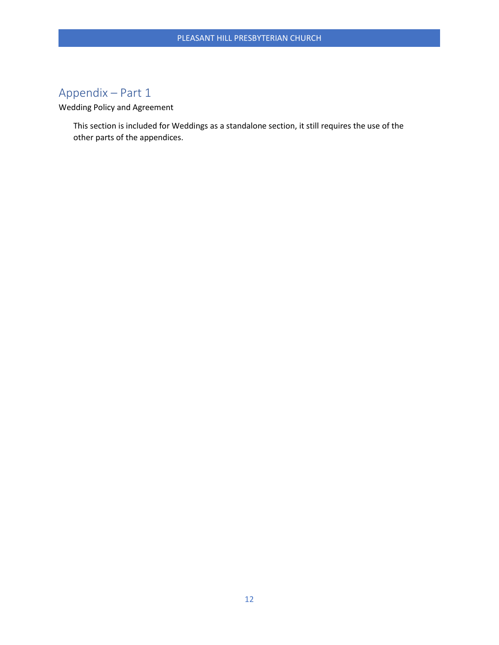## <span id="page-11-0"></span>Appendix – Part 1

[Wedding Policy and Agreement](#page-12-0)

This section is included for Weddings as a standalone section, it still requires the use of the other parts of the appendices.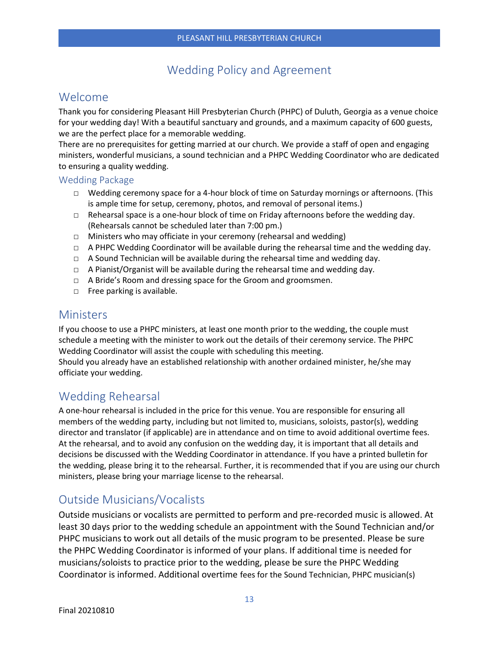## Wedding Policy and Agreement

## <span id="page-12-1"></span><span id="page-12-0"></span>Welcome

Thank you for considering Pleasant Hill Presbyterian Church (PHPC) of Duluth, Georgia as a venue choice for your wedding day! With a beautiful sanctuary and grounds, and a maximum capacity of 600 guests, we are the perfect place for a memorable wedding.

There are no prerequisites for getting married at our church. We provide a staff of open and engaging ministers, wonderful musicians, a sound technician and a PHPC Wedding Coordinator who are dedicated to ensuring a quality wedding.

#### <span id="page-12-2"></span>Wedding Package

- □ Wedding ceremony space for a 4-hour block of time on Saturday mornings or afternoons. (This is ample time for setup, ceremony, photos, and removal of personal items.)
- $\Box$  Rehearsal space is a one-hour block of time on Friday afternoons before the wedding day. (Rehearsals cannot be scheduled later than 7:00 pm.)
- □ Ministers who may officiate in your ceremony (rehearsal and wedding)
- $\Box$  A PHPC Wedding Coordinator will be available during the rehearsal time and the wedding day.
- $\Box$  A Sound Technician will be available during the rehearsal time and wedding day.
- $\Box$  A Pianist/Organist will be available during the rehearsal time and wedding day.
- □ A Bride's Room and dressing space for the Groom and groomsmen.
- $\Box$  Free parking is available.

## <span id="page-12-3"></span>Ministers

If you choose to use a PHPC ministers, at least one month prior to the wedding, the couple must schedule a meeting with the minister to work out the details of their ceremony service. The PHPC Wedding Coordinator will assist the couple with scheduling this meeting.

Should you already have an established relationship with another ordained minister, he/she may officiate your wedding.

## <span id="page-12-4"></span>Wedding Rehearsal

A one-hour rehearsal is included in the price for this venue. You are responsible for ensuring all members of the wedding party, including but not limited to, musicians, soloists, pastor(s), wedding director and translator (if applicable) are in attendance and on time to avoid additional overtime fees. At the rehearsal, and to avoid any confusion on the wedding day, it is important that all details and decisions be discussed with the Wedding Coordinator in attendance. If you have a printed bulletin for the wedding, please bring it to the rehearsal. Further, it is recommended that if you are using our church ministers, please bring your marriage license to the rehearsal.

## <span id="page-12-5"></span>Outside Musicians/Vocalists

Outside musicians or vocalists are permitted to perform and pre-recorded music is allowed. At least 30 days prior to the wedding schedule an appointment with the Sound Technician and/or PHPC musicians to work out all details of the music program to be presented. Please be sure the PHPC Wedding Coordinator is informed of your plans. If additional time is needed for musicians/soloists to practice prior to the wedding, please be sure the PHPC Wedding Coordinator is informed. Additional overtime fees for the Sound Technician, PHPC musician(s)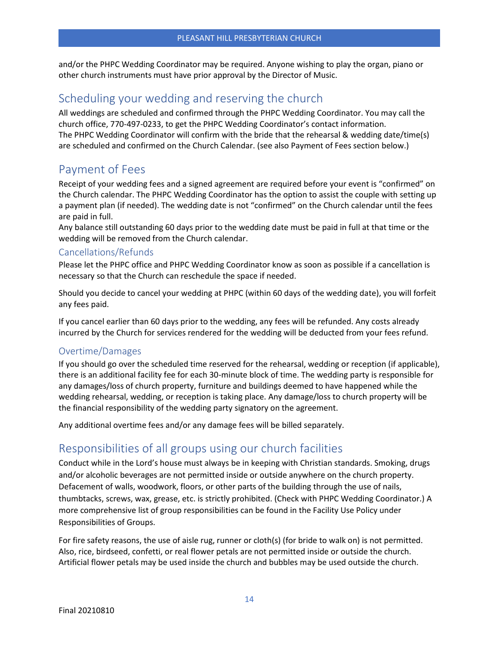and/or the PHPC Wedding Coordinator may be required. Anyone wishing to play the organ, piano or other church instruments must have prior approval by the Director of Music.

## <span id="page-13-0"></span>Scheduling your wedding and reserving the church

All weddings are scheduled and confirmed through the PHPC Wedding Coordinator. You may call the church office, 770-497-0233, to get the PHPC Wedding Coordinator's contact information. The PHPC Wedding Coordinator will confirm with the bride that the rehearsal & wedding date/time(s) are scheduled and confirmed on the Church Calendar. (see also Payment of Fees section below.)

## <span id="page-13-1"></span>Payment of Fees

Receipt of your wedding fees and a signed agreement are required before your event is "confirmed" on the Church calendar. The PHPC Wedding Coordinator has the option to assist the couple with setting up a payment plan (if needed). The wedding date is not "confirmed" on the Church calendar until the fees are paid in full.

Any balance still outstanding 60 days prior to the wedding date must be paid in full at that time or the wedding will be removed from the Church calendar.

#### <span id="page-13-2"></span>Cancellations/Refunds

Please let the PHPC office and PHPC Wedding Coordinator know as soon as possible if a cancellation is necessary so that the Church can reschedule the space if needed.

Should you decide to cancel your wedding at PHPC (within 60 days of the wedding date), you will forfeit any fees paid.

If you cancel earlier than 60 days prior to the wedding, any fees will be refunded. Any costs already incurred by the Church for services rendered for the wedding will be deducted from your fees refund.

#### <span id="page-13-3"></span>Overtime/Damages

If you should go over the scheduled time reserved for the rehearsal, wedding or reception (if applicable), there is an additional facility fee for each 30-minute block of time. The wedding party is responsible for any damages/loss of church property, furniture and buildings deemed to have happened while the wedding rehearsal, wedding, or reception is taking place. Any damage/loss to church property will be the financial responsibility of the wedding party signatory on the agreement.

Any additional overtime fees and/or any damage fees will be billed separately.

## <span id="page-13-4"></span>Responsibilities of all groups using our church facilities

Conduct while in the Lord's house must always be in keeping with Christian standards. Smoking, drugs and/or alcoholic beverages are not permitted inside or outside anywhere on the church property. Defacement of walls, woodwork, floors, or other parts of the building through the use of nails, thumbtacks, screws, wax, grease, etc. is strictly prohibited. (Check with PHPC Wedding Coordinator.) A more comprehensive list of group responsibilities can be found in the Facility Use Policy under [Responsibilities of Groups.](#page-4-1)

For fire safety reasons, the use of aisle rug, runner or cloth(s) (for bride to walk on) is not permitted. Also, rice, birdseed, confetti, or real flower petals are not permitted inside or outside the church. Artificial flower petals may be used inside the church and bubbles may be used outside the church.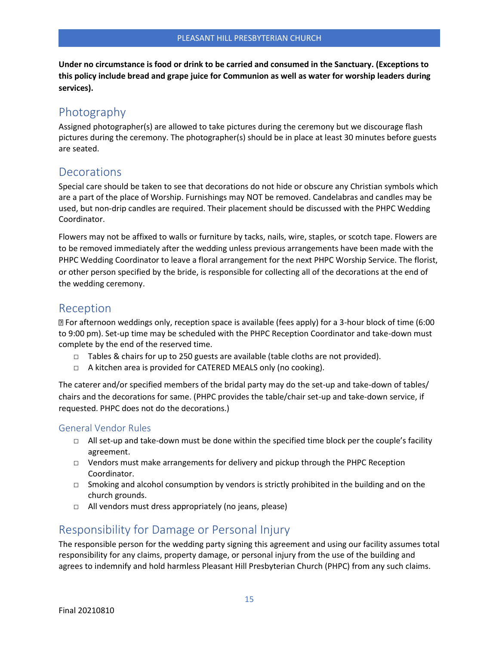**Under no circumstance is food or drink to be carried and consumed in the Sanctuary. (Exceptions to this policy include bread and grape juice for Communion as well as water for worship leaders during services).**

## <span id="page-14-0"></span>Photography

Assigned photographer(s) are allowed to take pictures during the ceremony but we discourage flash pictures during the ceremony. The photographer(s) should be in place at least 30 minutes before guests are seated.

### <span id="page-14-1"></span>Decorations

Special care should be taken to see that decorations do not hide or obscure any Christian symbols which are a part of the place of Worship. Furnishings may NOT be removed. Candelabras and candles may be used, but non-drip candles are required. Their placement should be discussed with the PHPC Wedding Coordinator.

Flowers may not be affixed to walls or furniture by tacks, nails, wire, staples, or scotch tape. Flowers are to be removed immediately after the wedding unless previous arrangements have been made with the PHPC Wedding Coordinator to leave a floral arrangement for the next PHPC Worship Service. The florist, or other person specified by the bride, is responsible for collecting all of the decorations at the end of the wedding ceremony.

## <span id="page-14-2"></span>Reception

For afternoon weddings only, reception space is available (fees apply) for a 3-hour block of time (6:00 to 9:00 pm). Set-up time may be scheduled with the PHPC Reception Coordinator and take-down must complete by the end of the reserved time.

- $\Box$  Tables & chairs for up to 250 guests are available (table cloths are not provided).
- □ A kitchen area is provided for CATERED MEALS only (no cooking).

The caterer and/or specified members of the bridal party may do the set-up and take-down of tables/ chairs and the decorations for same. (PHPC provides the table/chair set-up and take-down service, if requested. PHPC does not do the decorations.)

#### <span id="page-14-3"></span>General Vendor Rules

- $\Box$  All set-up and take-down must be done within the specified time block per the couple's facility agreement.
- $\Box$  Vendors must make arrangements for delivery and pickup through the PHPC Reception Coordinator.
- $\Box$  Smoking and alcohol consumption by vendors is strictly prohibited in the building and on the church grounds.
- □ All vendors must dress appropriately (no jeans, please)

## <span id="page-14-4"></span>Responsibility for Damage or Personal Injury

The responsible person for the wedding party signing this agreement and using our facility assumes total responsibility for any claims, property damage, or personal injury from the use of the building and agrees to indemnify and hold harmless Pleasant Hill Presbyterian Church (PHPC) from any such claims.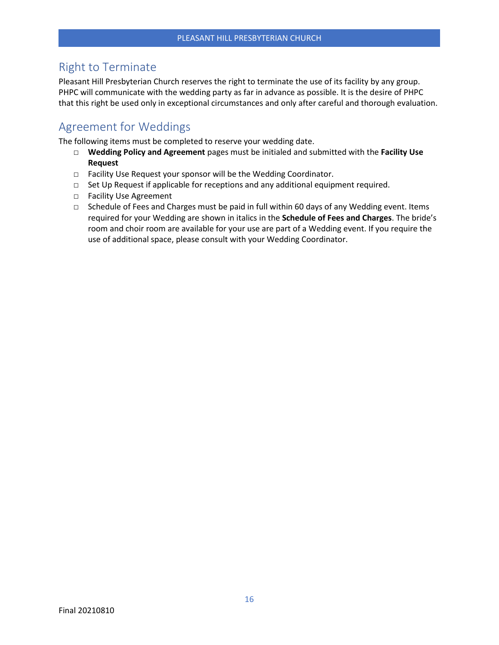## <span id="page-15-0"></span>Right to Terminate

Pleasant Hill Presbyterian Church reserves the right to terminate the use of its facility by any group. PHPC will communicate with the wedding party as far in advance as possible. It is the desire of PHPC that this right be used only in exceptional circumstances and only after careful and thorough evaluation.

## <span id="page-15-1"></span>Agreement for Weddings

The following items must be completed to reserve your wedding date.

- □ **Wedding Policy and Agreement** pages must be initialed and submitted with the **Facility Use Request**
- □ Facility Use Request your sponsor will be the Wedding Coordinator.
- $\Box$  Set Up Request if applicable for receptions and any additional equipment required.
- □ Facility Use Agreement
- $\Box$  Schedule of Fees and Charges must be paid in full within 60 days of any Wedding event. Items required for your Wedding are shown in italics in the **Schedule of Fees and Charges**. The bride's room and choir room are available for your use are part of a Wedding event. If you require the use of additional space, please consult with your Wedding Coordinator.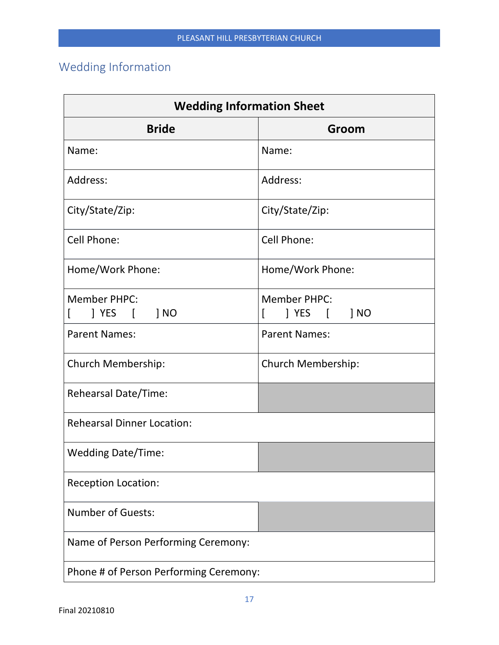## <span id="page-16-0"></span>Wedding Information

 $\overline{a}$ 

| <b>Wedding Information Sheet</b>       |                                           |  |  |  |
|----------------------------------------|-------------------------------------------|--|--|--|
| <b>Bride</b>                           | Groom                                     |  |  |  |
| Name:                                  | Name:                                     |  |  |  |
| Address:                               | Address:                                  |  |  |  |
| City/State/Zip:                        | City/State/Zip:                           |  |  |  |
| Cell Phone:                            | Cell Phone:                               |  |  |  |
| Home/Work Phone:                       | Home/Work Phone:                          |  |  |  |
| <b>Member PHPC:</b><br>] YES [ ] NO    | <b>Member PHPC:</b><br>$]$ YES $[$ $]$ NO |  |  |  |
| <b>Parent Names:</b>                   | <b>Parent Names:</b>                      |  |  |  |
| <b>Church Membership:</b>              | Church Membership:                        |  |  |  |
| Rehearsal Date/Time:                   |                                           |  |  |  |
| <b>Rehearsal Dinner Location:</b>      |                                           |  |  |  |
| <b>Wedding Date/Time:</b>              |                                           |  |  |  |
| <b>Reception Location:</b>             |                                           |  |  |  |
| <b>Number of Guests:</b>               |                                           |  |  |  |
| Name of Person Performing Ceremony:    |                                           |  |  |  |
| Phone # of Person Performing Ceremony: |                                           |  |  |  |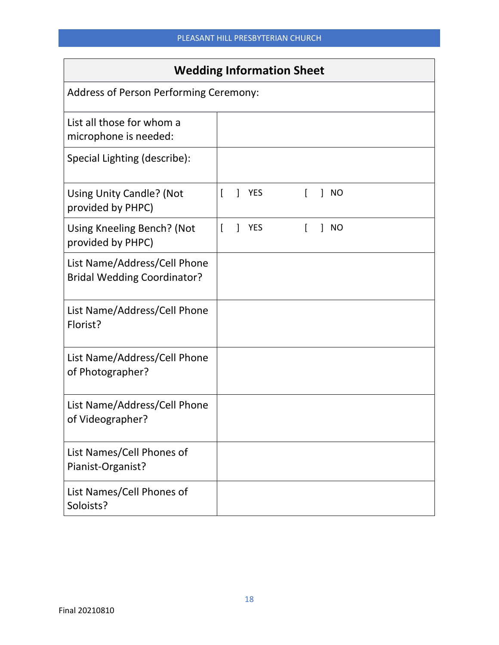## **Wedding Information Sheet**

| <b>Address of Person Performing Ceremony:</b>                      |                |              |            |          |                           |
|--------------------------------------------------------------------|----------------|--------------|------------|----------|---------------------------|
| List all those for whom a<br>microphone is needed:                 |                |              |            |          |                           |
| Special Lighting (describe):                                       |                |              |            |          |                           |
| <b>Using Unity Candle? (Not</b><br>provided by PHPC)               | $\mathbf{I}$   | 1            | <b>YES</b> |          | NO<br>$\mathbf{I}$        |
| Using Kneeling Bench? (Not<br>provided by PHPC)                    | $\overline{1}$ | $\mathbf{I}$ | <b>YES</b> | $\Gamma$ | <b>NO</b><br>$\mathbf{I}$ |
| List Name/Address/Cell Phone<br><b>Bridal Wedding Coordinator?</b> |                |              |            |          |                           |
| List Name/Address/Cell Phone<br>Florist?                           |                |              |            |          |                           |
| List Name/Address/Cell Phone<br>of Photographer?                   |                |              |            |          |                           |
| List Name/Address/Cell Phone<br>of Videographer?                   |                |              |            |          |                           |
| List Names/Cell Phones of<br>Pianist-Organist?                     |                |              |            |          |                           |
| List Names/Cell Phones of<br>Soloists?                             |                |              |            |          |                           |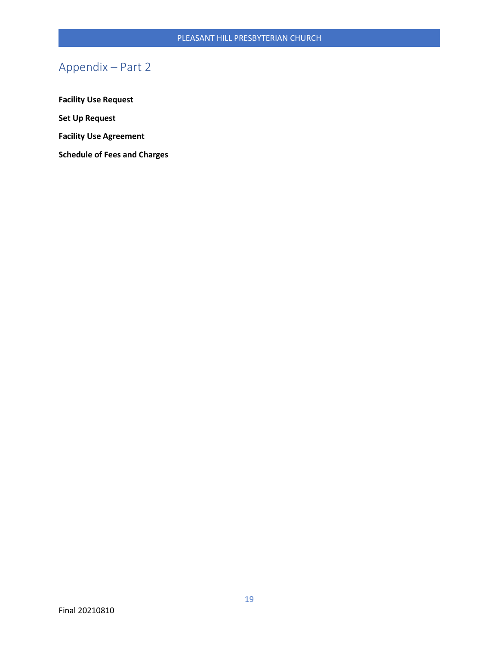## <span id="page-18-0"></span>Appendix – Part 2

**[Facility Use Request](#page-19-0)**

**[Set Up Request](#page-20-0)**

**[Facility Use Agreement](#page-21-0)**

**[Schedule of Fees and Charges](#page-23-0)**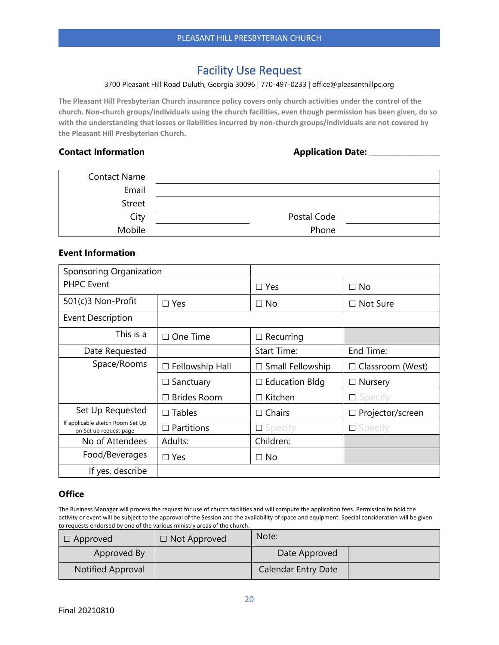## Facility Use Request

#### 3700 Pleasant Hill Road Duluth, Georgia 30096 | 770-497-0233 | office@pleasanthillpc.org

<span id="page-19-0"></span>**The Pleasant Hill Presbyterian Church insurance policy covers only church activities under the control of the church. Non-church groups/individuals using the church facilities, even though permission has been given, do so with the understanding that losses or liabilities incurred by non-church groups/individuals are not covered by the Pleasant Hill Presbyterian Church.**

#### **Contact Information Application Date: \_\_\_\_\_\_\_\_\_\_\_\_\_\_\_\_\_\_\_**

| <b>Contact Name</b> |             |
|---------------------|-------------|
| Email               |             |
| <b>Street</b>       |             |
| City                | Postal Code |
| Mobile              | Phone       |

#### **Event Information**

| Sponsoring Organization                                    |                        |                         |                         |
|------------------------------------------------------------|------------------------|-------------------------|-------------------------|
| <b>PHPC Event</b>                                          |                        | $\Box$ Yes              | $\Box$ No               |
| 501(c)3 Non-Profit                                         | $\Box$ Yes             | $\Box$ No               | $\Box$ Not Sure         |
| Event Description                                          |                        |                         |                         |
| This is a                                                  | One Time<br>$\Box$     | $\Box$ Recurring        |                         |
| Date Requested                                             |                        | Start Time:             | End Time:               |
| Space/Rooms                                                | $\Box$ Fellowship Hall | $\Box$ Small Fellowship | $\Box$ Classroom (West) |
|                                                            | Sanctuary<br>$\Box$    | $\Box$ Education Bldg   | $\Box$ Nursery          |
|                                                            | <b>Brides Room</b>     | □ Kitchen               | $\Box$ Specify          |
| Set Up Requested                                           | $\Box$ Tables          | $\Box$ Chairs           | $\Box$ Projector/screen |
| If applicable sketch Room Set Up<br>on Set up request page | $\Box$ Partitions      | $\square$ Specify       | $\Box$ Specify          |
| No of Attendees                                            | Adults:                | Children:               |                         |
| Food/Beverages                                             | $\Box$ Yes             | $\Box$ No               |                         |
| If yes, describe                                           |                        |                         |                         |

#### **Office**

The Business Manager will process the request for use of church facilities and will compute the application fees. Permission to hold the activity or event will be subject to the approval of the Session and the availability of space and equipment. Special consideration will be given to requests endorsed by one of the various ministry areas of the church.

| $\Box$ Approved   | $\Box$ Not Approved | Note:                      |  |
|-------------------|---------------------|----------------------------|--|
| Approved By       |                     | Date Approved              |  |
| Notified Approval |                     | <b>Calendar Entry Date</b> |  |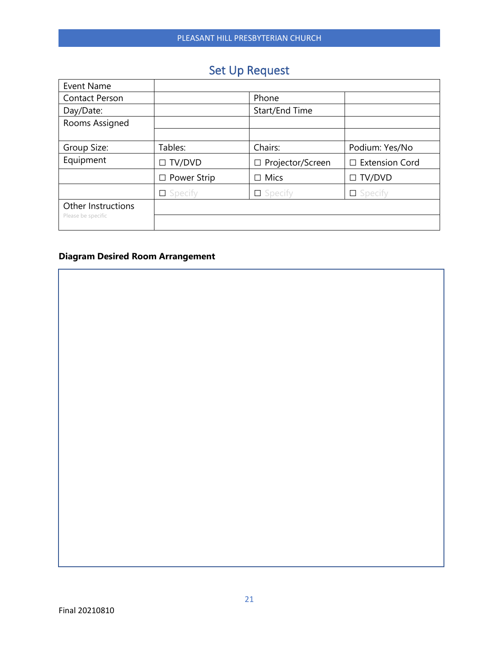## Set Up Request

<span id="page-20-0"></span>

| Event Name                               |                    |                    |                       |
|------------------------------------------|--------------------|--------------------|-----------------------|
| <b>Contact Person</b>                    |                    | Phone              |                       |
| Day/Date:                                |                    | Start/End Time     |                       |
| Rooms Assigned                           |                    |                    |                       |
|                                          |                    |                    |                       |
| Group Size:                              | Tables:            | Chairs:            | Podium: Yes/No        |
| Equipment                                | $\Box$ TV/DVD      | □ Projector/Screen | $\Box$ Extension Cord |
|                                          | $\Box$ Power Strip | $\Box$ Mics        | $\Box$ TV/DVD         |
|                                          | $\Box$ Specify     | $\Box$ Specify     | $\Box$ Specify        |
| Other Instructions<br>Please be specific |                    |                    |                       |
|                                          |                    |                    |                       |

## **Diagram Desired Room Arrangement**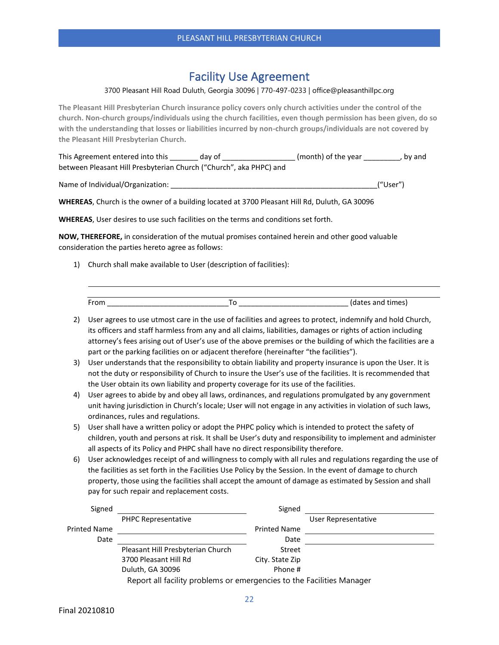## Facility Use Agreement

#### 3700 Pleasant Hill Road Duluth, Georgia 30096 | 770-497-0233 | office@pleasanthillpc.org

<span id="page-21-0"></span>**The Pleasant Hill Presbyterian Church insurance policy covers only church activities under the control of the church. Non-church groups/individuals using the church facilities, even though permission has been given, do so with the understanding that losses or liabilities incurred by non-church groups/individuals are not covered by the Pleasant Hill Presbyterian Church.**

| This Agreement entered into this                                   | day of | (month) of the year | by and |
|--------------------------------------------------------------------|--------|---------------------|--------|
| between Pleasant Hill Presbyterian Church ("Church", aka PHPC) and |        |                     |        |

Name of Individual/Organization: \_\_\_\_\_\_\_\_\_\_\_\_\_\_\_\_\_\_\_\_\_\_\_\_\_\_\_\_\_\_\_\_\_\_\_\_\_\_\_\_\_\_\_\_\_\_\_\_\_\_\_("User")

**WHEREAS**, Church is the owner of a building located at 3700 Pleasant Hill Rd, Duluth, GA 30096

**WHEREAS**, User desires to use such facilities on the terms and conditions set forth.

**NOW, THEREFORE,** in consideration of the mutual promises contained herein and other good valuable consideration the parties hereto agree as follows:

1) Church shall make available to User (description of facilities):

| $-111$<br>_________ | From | timesl<br>ldates<br>$\sim$ |
|---------------------|------|----------------------------|

- 2) User agrees to use utmost care in the use of facilities and agrees to protect, indemnify and hold Church, its officers and staff harmless from any and all claims, liabilities, damages or rights of action including attorney's fees arising out of User's use of the above premises or the building of which the facilities are a part or the parking facilities on or adjacent therefore (hereinafter "the facilities").
- 3) User understands that the responsibility to obtain liability and property insurance is upon the User. It is not the duty or responsibility of Church to insure the User's use of the facilities. It is recommended that the User obtain its own liability and property coverage for its use of the facilities.
- 4) User agrees to abide by and obey all laws, ordinances, and regulations promulgated by any government unit having jurisdiction in Church's locale; User will not engage in any activities in violation of such laws, ordinances, rules and regulations.
- 5) User shall have a written policy or adopt the PHPC policy which is intended to protect the safety of children, youth and persons at risk. It shall be User's duty and responsibility to implement and administer all aspects of its Policy and PHPC shall have no direct responsibility therefore.
- 6) User acknowledges receipt of and willingness to comply with all rules and regulations regarding the use of the facilities as set forth in the Facilities Use Policy by the Session. In the event of damage to church property, those using the facilities shall accept the amount of damage as estimated by Session and shall pay for such repair and replacement costs.

| Signed              |                                                                       | Signed              |                     |
|---------------------|-----------------------------------------------------------------------|---------------------|---------------------|
|                     | <b>PHPC Representative</b>                                            |                     | User Representative |
| <b>Printed Name</b> |                                                                       | <b>Printed Name</b> |                     |
| Date                |                                                                       | Date                |                     |
|                     | Pleasant Hill Presbyterian Church                                     | Street              |                     |
|                     | 3700 Pleasant Hill Rd                                                 | City. State Zip     |                     |
|                     | Duluth, GA 30096                                                      | Phone #             |                     |
|                     | Report all facility problems or emergencies to the Facilities Manager |                     |                     |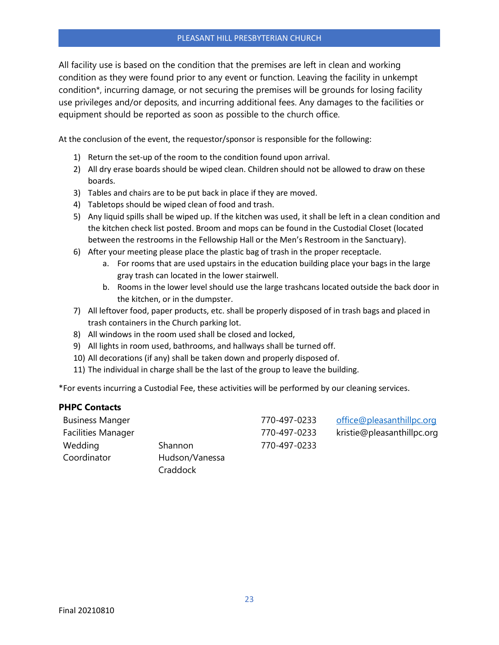All facility use is based on the condition that the premises are left in clean and working condition as they were found prior to any event or function. Leaving the facility in unkempt condition\*, incurring damage, or not securing the premises will be grounds for losing facility use privileges and/or deposits, and incurring additional fees. Any damages to the facilities or equipment should be reported as soon as possible to the church office.

At the conclusion of the event, the requestor/sponsor is responsible for the following:

- 1) Return the set-up of the room to the condition found upon arrival.
- 2) All dry erase boards should be wiped clean. Children should not be allowed to draw on these boards.
- 3) Tables and chairs are to be put back in place if they are moved.
- 4) Tabletops should be wiped clean of food and trash.
- 5) Any liquid spills shall be wiped up. If the kitchen was used, it shall be left in a clean condition and the kitchen check list posted. Broom and mops can be found in the Custodial Closet (located between the restrooms in the Fellowship Hall or the Men's Restroom in the Sanctuary).
- 6) After your meeting please place the plastic bag of trash in the proper receptacle.
	- a. For rooms that are used upstairs in the education building place your bags in the large gray trash can located in the lower stairwell.
	- b. Rooms in the lower level should use the large trashcans located outside the back door in the kitchen, or in the dumpster.
- 7) All leftover food, paper products, etc. shall be properly disposed of in trash bags and placed in trash containers in the Church parking lot.
- 8) All windows in the room used shall be closed and locked,
- 9) All lights in room used, bathrooms, and hallways shall be turned off.
- 10) All decorations (if any) shall be taken down and properly disposed of.
- 11) The individual in charge shall be the last of the group to leave the building.

\*For events incurring a Custodial Fee, these activities will be performed by our cleaning services.

#### **PHPC Contacts**

| <b>Business Manger</b>    |                | 770-497-0233 | office@pleasanthillpc.org  |
|---------------------------|----------------|--------------|----------------------------|
| <b>Facilities Manager</b> |                | 770-497-0233 | kristie@pleasanthillpc.org |
| Wedding                   | Shannon        | 770-497-0233 |                            |
| Coordinator               | Hudson/Vanessa |              |                            |
|                           | Craddock       |              |                            |